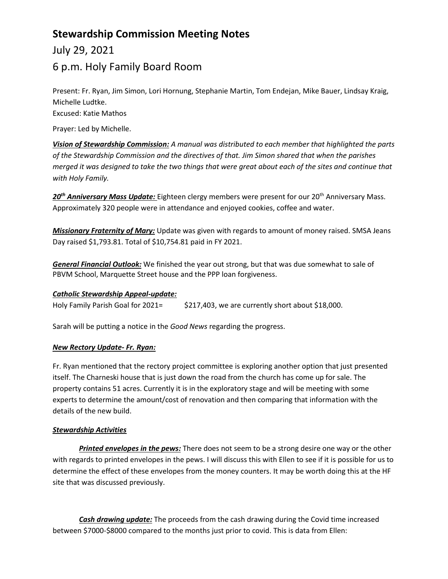# **Stewardship Commission Meeting Notes**

July 29, 2021

## 6 p.m. Holy Family Board Room

Present: Fr. Ryan, Jim Simon, Lori Hornung, Stephanie Martin, Tom Endejan, Mike Bauer, Lindsay Kraig, Michelle Ludtke.

Excused: Katie Mathos

Prayer: Led by Michelle.

*Vision of Stewardship Commission: A manual was distributed to each member that highlighted the parts of the Stewardship Commission and the directives of that. Jim Simon shared that when the parishes merged it was designed to take the two things that were great about each of the sites and continue that with Holy Family.* 

20<sup>th</sup> Anniversary Mass Update: Eighteen clergy members were present for our 20<sup>th</sup> Anniversary Mass. Approximately 320 people were in attendance and enjoyed cookies, coffee and water.

*Missionary Fraternity of Mary:* Update was given with regards to amount of money raised. SMSA Jeans Day raised \$1,793.81. Total of \$10,754.81 paid in FY 2021.

*General Financial Outlook:* We finished the year out strong, but that was due somewhat to sale of PBVM School, Marquette Street house and the PPP loan forgiveness.

### *Catholic Stewardship Appeal-update:*

Holy Family Parish Goal for 2021= \$217,403, we are currently short about \$18,000.

Sarah will be putting a notice in the *Good News* regarding the progress.

### *New Rectory Update- Fr. Ryan:*

Fr. Ryan mentioned that the rectory project committee is exploring another option that just presented itself. The Charneski house that is just down the road from the church has come up for sale. The property contains 51 acres. Currently it is in the exploratory stage and will be meeting with some experts to determine the amount/cost of renovation and then comparing that information with the details of the new build.

### *Stewardship Activities*

*Printed envelopes in the pews:* There does not seem to be a strong desire one way or the other with regards to printed envelopes in the pews. I will discuss this with Ellen to see if it is possible for us to determine the effect of these envelopes from the money counters. It may be worth doing this at the HF site that was discussed previously.

*Cash drawing update:* The proceeds from the cash drawing during the Covid time increased between \$7000-\$8000 compared to the months just prior to covid. This is data from Ellen: